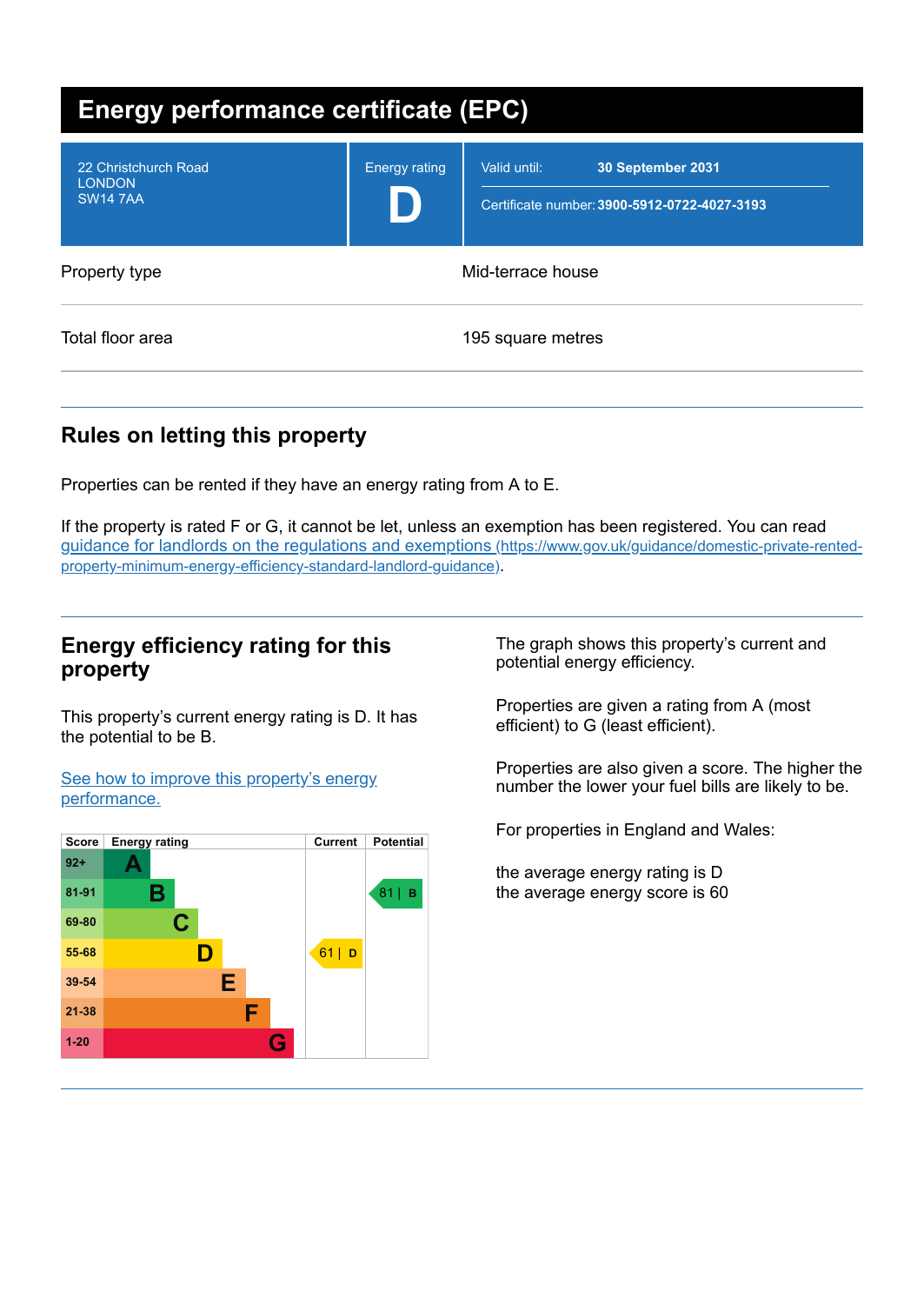| <b>Energy performance certificate (EPC)</b>              |                      |                                                                                   |  |
|----------------------------------------------------------|----------------------|-----------------------------------------------------------------------------------|--|
| 22 Christchurch Road<br><b>LONDON</b><br><b>SW14 7AA</b> | <b>Energy rating</b> | Valid until:<br>30 September 2031<br>Certificate number: 3900-5912-0722-4027-3193 |  |
| Property type                                            | Mid-terrace house    |                                                                                   |  |
| Total floor area                                         |                      | 195 square metres                                                                 |  |

# **Rules on letting this property**

Properties can be rented if they have an energy rating from A to E.

If the property is rated F or G, it cannot be let, unless an exemption has been registered. You can read guidance for landlords on the regulations and exemptions (https://www.gov.uk/guidance/domestic-private-rented[property-minimum-energy-efficiency-standard-landlord-guidance\)](https://www.gov.uk/guidance/domestic-private-rented-property-minimum-energy-efficiency-standard-landlord-guidance).

### **Energy efficiency rating for this property**

This property's current energy rating is D. It has the potential to be B.

See how to improve this property's energy [performance.](#page-2-0)



The graph shows this property's current and potential energy efficiency.

Properties are given a rating from A (most efficient) to G (least efficient).

Properties are also given a score. The higher the number the lower your fuel bills are likely to be.

For properties in England and Wales:

the average energy rating is D the average energy score is 60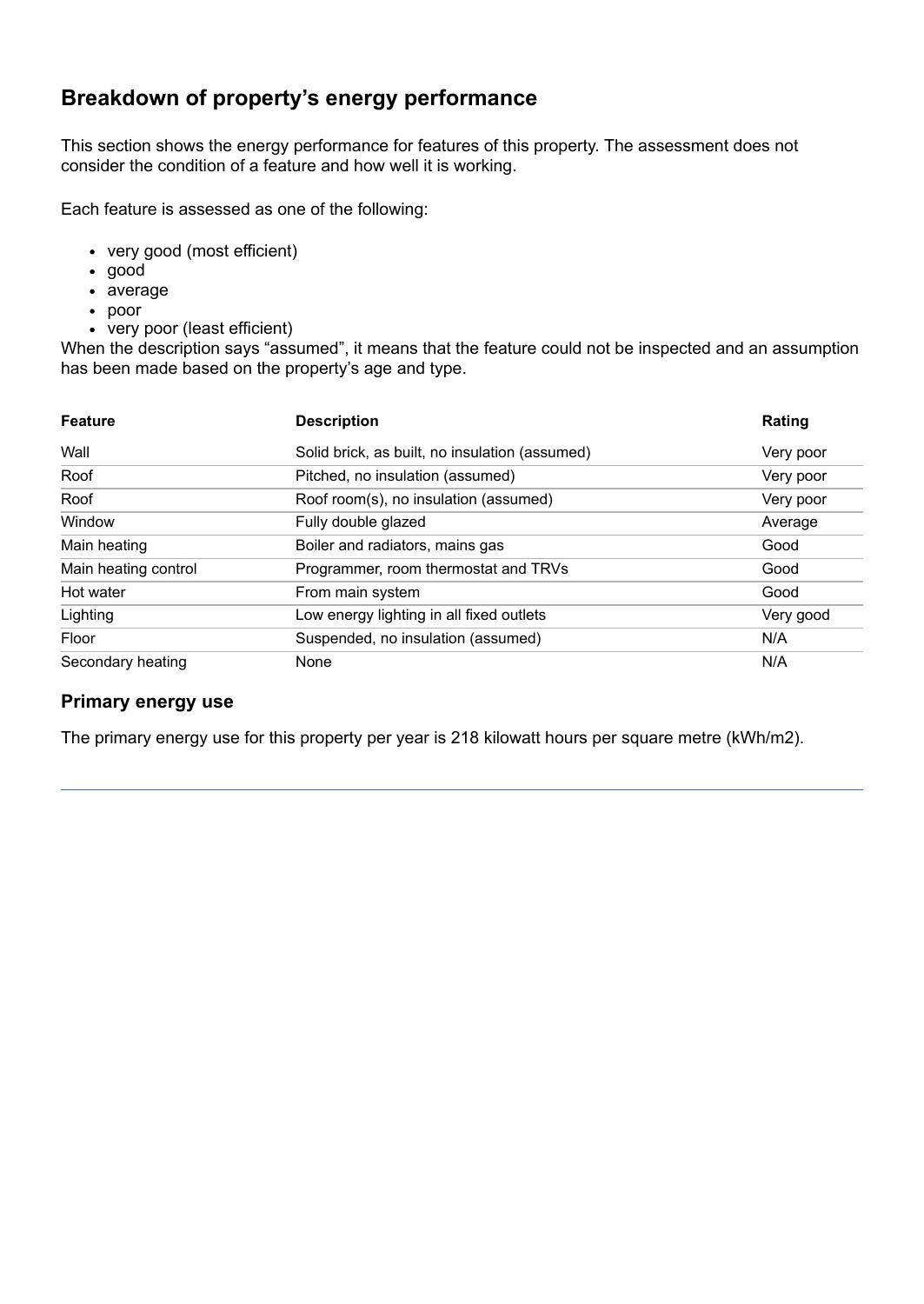# **Breakdown of property's energy performance**

This section shows the energy performance for features of this property. The assessment does not consider the condition of a feature and how well it is working.

Each feature is assessed as one of the following:

- very good (most efficient)
- good
- average
- poor
- very poor (least efficient)

When the description says "assumed", it means that the feature could not be inspected and an assumption has been made based on the property's age and type.

| <b>Feature</b>       | <b>Description</b>                             | Rating    |
|----------------------|------------------------------------------------|-----------|
| Wall                 | Solid brick, as built, no insulation (assumed) | Very poor |
| Roof                 | Pitched, no insulation (assumed)               | Very poor |
| Roof                 | Roof room(s), no insulation (assumed)          | Very poor |
| Window               | Fully double glazed                            | Average   |
| Main heating         | Boiler and radiators, mains gas                | Good      |
| Main heating control | Programmer, room thermostat and TRVs           | Good      |
| Hot water            | From main system                               | Good      |
| Lighting             | Low energy lighting in all fixed outlets       | Very good |
| Floor                | Suspended, no insulation (assumed)             | N/A       |
| Secondary heating    | None                                           | N/A       |

#### **Primary energy use**

The primary energy use for this property per year is 218 kilowatt hours per square metre (kWh/m2).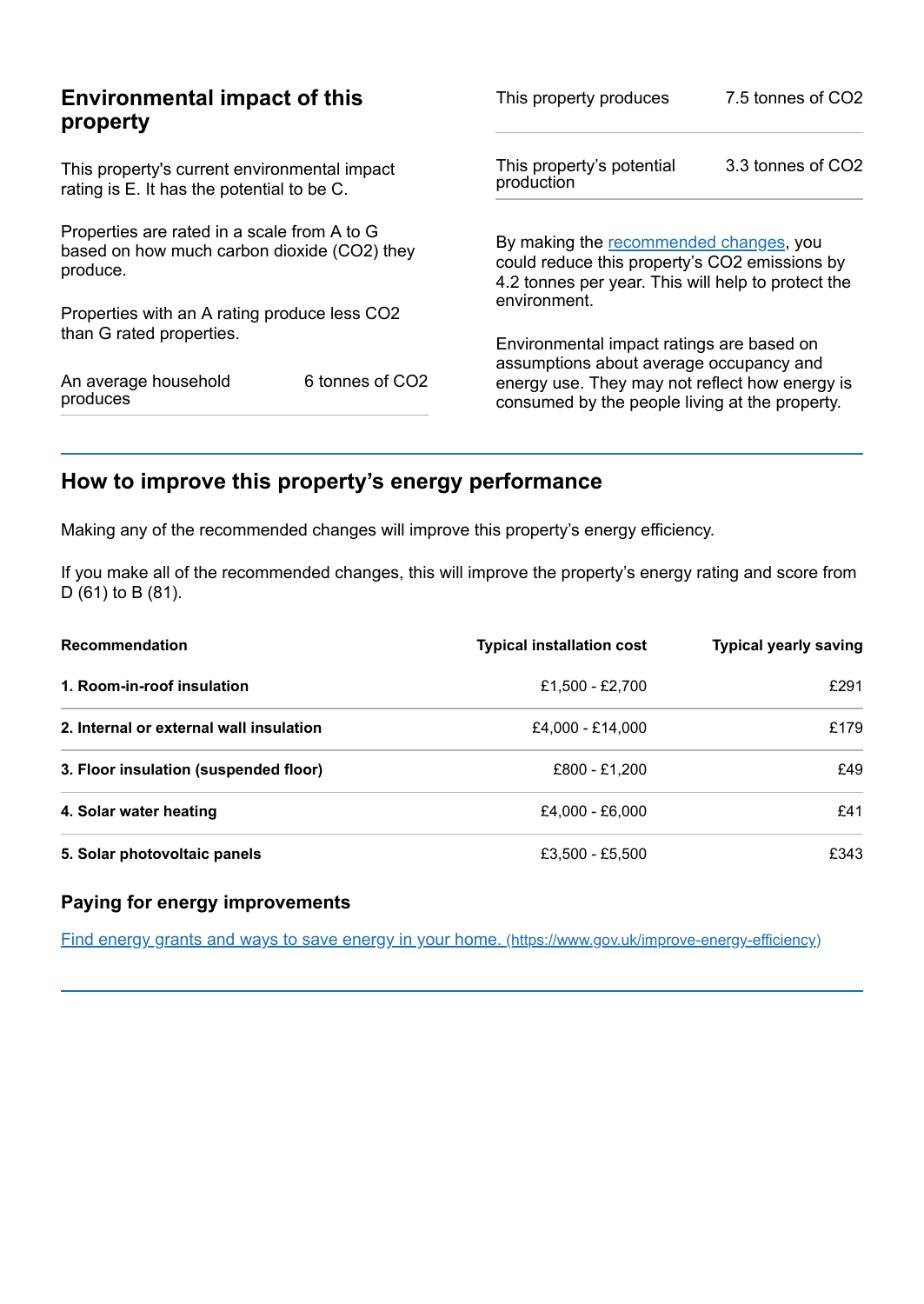| <b>Environmental impact of this</b><br>property                                                        |                 | This property produces                                                                                                                        | 7.5 tonnes of CO2 |
|--------------------------------------------------------------------------------------------------------|-----------------|-----------------------------------------------------------------------------------------------------------------------------------------------|-------------------|
| This property's current environmental impact<br>rating is E. It has the potential to be C.             |                 | This property's potential<br>production                                                                                                       | 3.3 tonnes of CO2 |
| Properties are rated in a scale from A to G<br>based on how much carbon dioxide (CO2) they<br>produce. |                 | By making the recommended changes, you<br>could reduce this property's CO2 emissions by<br>4.2 tonnes per year. This will help to protect the |                   |
| Properties with an A rating produce less CO2                                                           |                 | environment.                                                                                                                                  |                   |
| than G rated properties.                                                                               |                 | Environmental impact ratings are based on<br>assumptions about average occupancy and                                                          |                   |
| An average household<br>produces                                                                       | 6 tonnes of CO2 | energy use. They may not reflect how energy is<br>consumed by the people living at the property.                                              |                   |

# <span id="page-2-0"></span>**How to improve this property's energy performance**

Making any of the recommended changes will improve this property's energy efficiency.

If you make all of the recommended changes, this will improve the property's energy rating and score from D (61) to B (81).

| <b>Recommendation</b>                   | <b>Typical installation cost</b> | <b>Typical yearly saving</b> |
|-----------------------------------------|----------------------------------|------------------------------|
| 1. Room-in-roof insulation              | £1.500 - £2.700                  | £291                         |
| 2. Internal or external wall insulation | £4,000 - £14,000                 | £179                         |
| 3. Floor insulation (suspended floor)   | £800 - £1.200                    | £49                          |
| 4. Solar water heating                  | £4.000 - £6.000                  | £41                          |
| 5. Solar photovoltaic panels            | £3,500 - £5,500                  | £343                         |

#### **Paying for energy improvements**

Find energy grants and ways to save energy in your home. [\(https://www.gov.uk/improve-energy-efficiency\)](https://www.gov.uk/improve-energy-efficiency)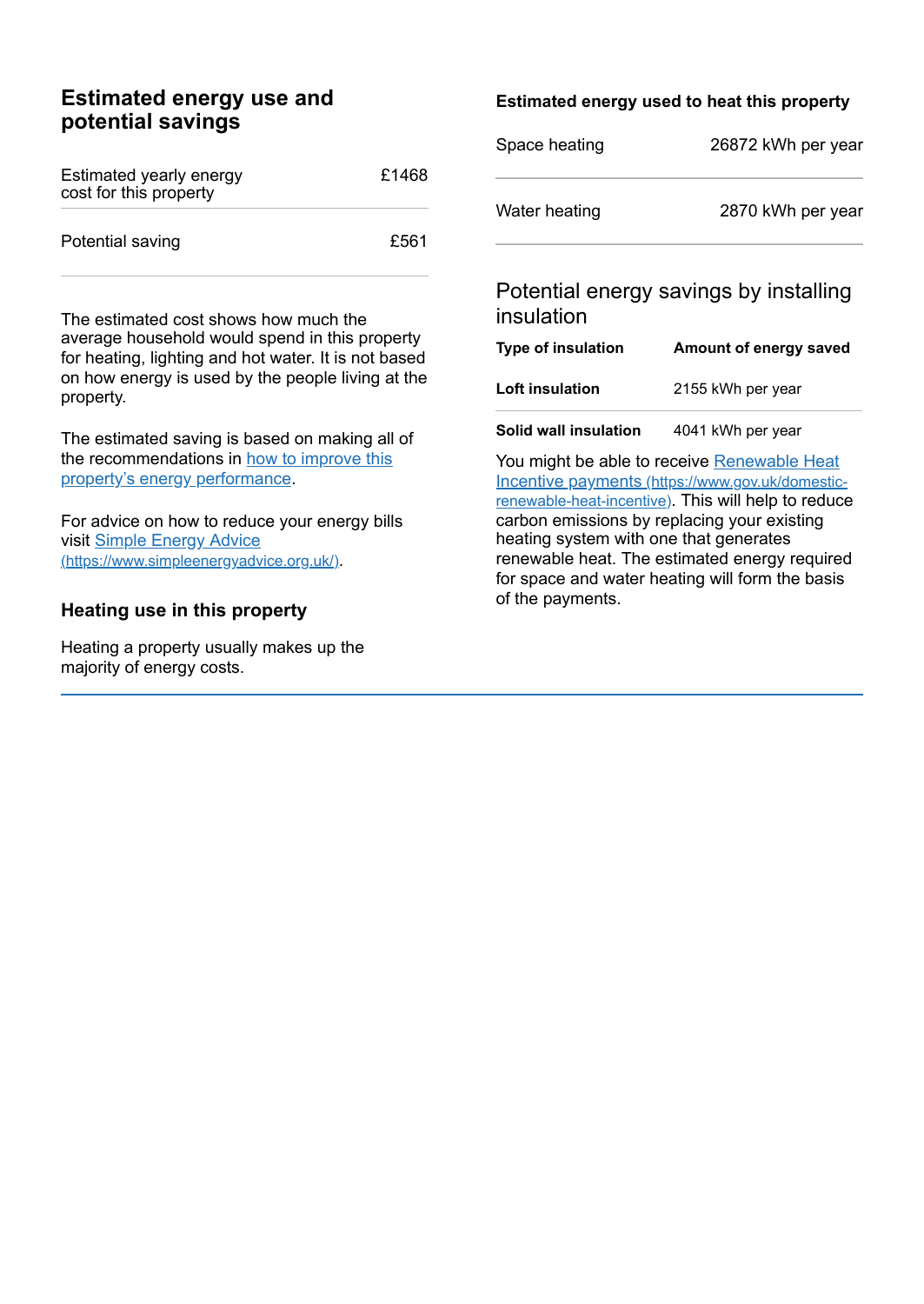### **Estimated energy use and potential savings**

| Estimated yearly energy<br>cost for this property | £1468 |
|---------------------------------------------------|-------|
| Potential saving                                  | £561  |

The estimated cost shows how much the average household would spend in this property for heating, lighting and hot water. It is not based on how energy is used by the people living at the property.

The estimated saving is based on making all of the [recommendations](#page-2-0) in how to improve this property's energy performance.

For advice on how to reduce your energy bills visit Simple Energy Advice [\(https://www.simpleenergyadvice.org.uk/\)](https://www.simpleenergyadvice.org.uk/).

#### **Heating use in this property**

Heating a property usually makes up the majority of energy costs.

#### **Estimated energy used to heat this property**

| Space heating | 26872 kWh per year |  |
|---------------|--------------------|--|
| Water heating | 2870 kWh per year  |  |

### Potential energy savings by installing insulation

| <b>Type of insulation</b> | Amount of energy saved |  |
|---------------------------|------------------------|--|
| Loft insulation           | 2155 kWh per year      |  |
|                           |                        |  |

**Solid wall insulation** 4041 kWh per year

You might be able to receive Renewable Heat Incentive payments [\(https://www.gov.uk/domestic](https://www.gov.uk/domestic-renewable-heat-incentive)renewable-heat-incentive). This will help to reduce carbon emissions by replacing your existing heating system with one that generates renewable heat. The estimated energy required for space and water heating will form the basis of the payments.